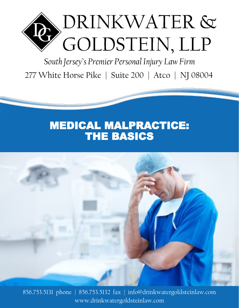

South Jersey's Premier Personal Injury Law Firm 277 White Horse Pike | Suite 200 | Atco | NJ 08004

## MEDICAL MALPRACTICE: THE BASICS



856.753.5131 phone | 856.753.5132 fax | info@drinkwatergoldsteinlaw.com www.drinkwatergoldsteinlaw.com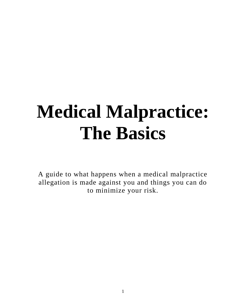# **Medical Malpractice: The Basics**

A guide to what happens when a medical malpractice allegation is made against you and things you can do to minimize your risk.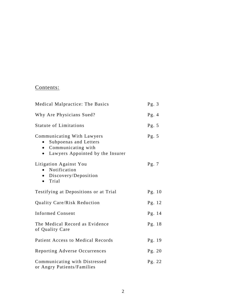#### Contents:

| Medical Malpractice: The Basics                                                                                                           | Pg. $3$  |
|-------------------------------------------------------------------------------------------------------------------------------------------|----------|
| Why Are Physicians Sued?                                                                                                                  | Pg. $4$  |
| <b>Statute of Limitations</b>                                                                                                             | Pg. $5$  |
| Communicating With Lawyers<br>Subpoenas and Letters<br>$\bullet$<br>• Communicating with<br>Lawyers Appointed by the Insurer<br>$\bullet$ | Pg. $5$  |
| Litigation Against You<br>Notification<br>$\bullet$<br>• Discovery/Deposition<br>Trial<br>$\bullet$                                       | Pg. $7$  |
| Testifying at Depositions or at Trial                                                                                                     | Pg. $10$ |
| Quality Care/Risk Reduction                                                                                                               | Pg. 12   |
| <b>Informed Consent</b>                                                                                                                   | Pg. 14   |
| The Medical Record as Evidence<br>of Quality Care                                                                                         | Pg. 18   |
| <b>Patient Access to Medical Records</b>                                                                                                  | Pg. 19   |
| Reporting Adverse Occurrences                                                                                                             | Pg. 20   |
| Communicating with Distressed<br>or Angry Patients/Families                                                                               | Pg. 22   |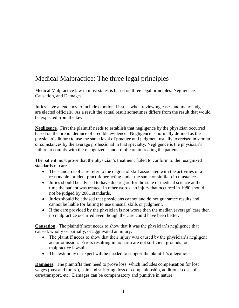## Medical Malpractice: The three legal principles

Medical Malpractice law in most states is based on three legal principles: Negligence, Causation, and Damages.

Juries have a tendency to include emotional issues when reviewing cases and many judges are elected officials. As a result the actual result sometimes differs from the result that would be expected from the law.

**Negligence**. First the plaintiff needs to establish that negligence by the physician occurred based on the preponderance of credible evidence. Negligence is normally defined as the physician's failure to use the same level of practice and judgment usually exercised in similar circumstances by the average professional in that specialty. Negligence is the physician's failure to comply with the recognized standard of care in treating the patient.

The patient must prove that the physician's treatment failed to conform to the recognized standards of care.

- The standards of care refer to the degree of skill associated with the activities of a reasonable, prudent practitioner acting under the same or similar circumstances.
- Juries should be advised to have due regard for the state of medical science at the time the patient was treated. In other words, an injury that occurred in 1980 should not be judged by 2001 standards.
- Juries should be advised that physicians cannot and do not guarantee results and cannot be liable for failing to use unusual skills or judgment.
- If the care provided by the physician is not worse than the median (average) care then no malpractice occurred even though the care could have been better.

**Causation**. The plaintiff next needs to show that it was the physician's negligence that caused, wholly or partially, or aggravated an injury.

- The plaintiff needs to show that their injury was caused by the physician's negligent act or omission. Errors resulting in no harm are not sufficient grounds for malpractice lawsuits.
- The testimony or expert will be needed to support the plaintiff's allegations.

**Damages**. The plaintiffs then need to prove loss, which includes compensation for lost wages (past and future), pain and suffering, loss of companionship, additional costs of care/transport, etc. Damages can be compensatory and punitive in nature.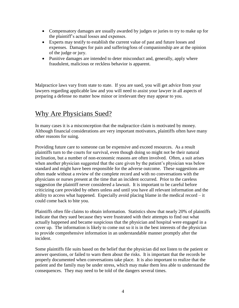- Compensatory damages are usually awarded by judges or juries to try to make up for the plaintiff's actual losses and expenses.
- Experts may testify to establish the current value of past and future losses and expenses. Damages for pain and suffering/loss of companionship are at the opinion of the judge or jury.
- Punitive damages are intended to deter misconduct and, generally, apply where fraudulent, malicious or reckless behavior is apparent.

Malpractice laws vary from state to state. If you are sued, you will get advice from your lawyers regarding applicable law and you will need to assist your lawyer in all aspects of preparing a defense no matter how minor or irrelevant they may appear to you.

### Why Are Physicians Sued?

In many cases it is a misconception that the malpractice claim is motivated by money. Although financial considerations are very important motivators, plaintiffs often have many other reasons for suing.

Providing future care to someone can be expensive and exceed resources. As a result plaintiffs turn to the courts for survival, even though doing so might not be their natural inclination, but a number of non-economic reasons are often involved. Often, a suit arises when another physician suggested that the care given by the patient's physician was below standard and might have been responsible for the adverse outcome. These suggestions are often made without a review of the complete record and with no conversations with the physicians or nurses present at the time that an incident occurred. Prior to the careless suggestion the plaintiff never considered a lawsuit. It is important to be careful before criticizing care provided by others unless and until you have all relevant information and the ability to access what happened. Especially avoid placing blame in the medical record – it could come back to bite you.

Plaintiffs often file claims to obtain information. Statistics show that nearly 20% of plaintiffs indicate that they sued because they were frustrated with their attempts to find out what actually happened and became suspicious that the physician and hospital were engaged in a cover up. The information is likely to come out so it is in the best interests of the physician to provide comprehensive information in an understandable manner promptly after the incident.

Some plaintiffs file suits based on the belief that the physician did not listen to the patient or answer questions, or failed to warn them about the risks. It is important that the records be properly documented when conversations take place. It is also important to realize that the patient and the family may be under stress, which may make them less able to understand the consequences. They may need to be told of the dangers several times.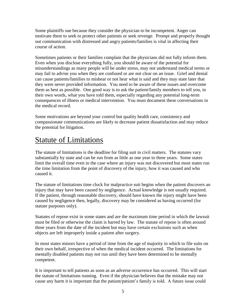Some plaintiffs sue because they consider the physician to be incompetent. Anger can motivate them to seek to protect other patients or seek revenge. Prompt and properly thought out communication with distressed and angry patients/families is vital in affecting their course of action.

Sometimes patients or their families complain that the physicians did not fully inform them. Even when you disclose everything fully, you should be aware of the potential for misunderstandings as many people will be under stress, may not understand medical terms or may fail to advise you when they are confused or are not clear on an issue. Grief and denial can cause patients/families to mishear or not hear what is said and they may state later that they were never provided information. You need to be aware of these issues and overcome them as best as possible. One good way is to ask the patient/family members to tell you, in their own words, what you have told them, especially regarding any potential long-term consequences of illness or medical intervention. You must document these conversations in the medical record.

Some motivations are beyond your control but quality health care, consistency and compassionate communications are likely to decrease patient dissatisfaction and may reduce the potential for litigation.

## Statute of Limitations

The statute of limitations is the deadline for filing suit in civil matters. The statutes vary substantially by state and can be run from as little as one year to three years. Some states limit the overall time even in the case where an injury was not discovered but most states run the time limitation from the point of discovery of the injury, how it was caused and who caused it.

The statute of limitations time clock for malpractice suit begins when the patient discovers an injury that may have been caused by negligence. Actual knowledge is not usually required. If the patient, through reasonable discovery, should have known the injury might have been caused by negligence then, legally, discovery may be considered as having occurred (for statute purposes only).

Statutes of repose exist in some states and are the maximum time period in which the lawsuit must be filed or otherwise the claim is barred by law. The statute of repose is often around three years from the date of the incident but may have certain exclusions such as when objects are left improperly inside a patient after surgery.

In most states minors have a period of time from the age of majority in which to file suits on their own behalf, irrespective of when the medical incident occurred. The limitations for mentally disabled patients may not run until they have been determined to be mentally competent.

It is important to tell patients as soon as an adverse occurrence has occurred. This will start the statute of limitations running. Even if the physician believes that the mistake may not cause any harm it is important that the patient/patient's family is told. A future issue could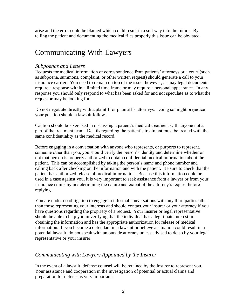arise and the error could be blamed which could result in a suit way into the future. By telling the patient and documenting the medical files properly this issue can be obviated.

## Communicating With Lawyers

#### *Subpoenas and Letters*

Requests for medical information or correspondence from patients' attorneys or a court (such as subpoena, summons, complaint, or other written request) should generate a call to your insurance carrier. You need to remain on top of the issue; however, as may legal documents require a response within a limited time frame or may require a personal appearance. In any response you should only respond to what has been asked for and not speculate as to what the requestor may be looking for.

Do not negotiate directly with a plaintiff or plaintiff's attorneys. Doing so might prejudice your position should a lawsuit follow.

Caution should be exercised in discussing a patient's medical treatment with anyone not a part of the treatment team. Details regarding the patient's treatment must be treated with the same confidentiality as the medical record.

Before engaging in a conversation with anyone who represents, or purports to represent, someone other than you, you should verify the person's identity and determine whether or not that person is properly authorized to obtain confidential medical information about the patient. This can be accomplished by taking the person's name and phone number and calling back after checking on the information and with the patient. Be sure to check that the patient has authorized release of medical information. Because this information could be used in a case against you, it is very important to seek assistance from a lawyer or from your insurance company in determining the nature and extent of the attorney's request before replying.

You are under no obligation to engage in informal conversations with any third parties other than those representing your interests and should contact your insurer or your attorney if you have questions regarding the propriety of a request. Your insurer or legal representative should be able to help you in verifying that the individual has a legitimate interest in obtaining the information and has the appropriate authorization for release of medical information. If you become a defendant in a lawsuit or believe a situation could result in a potential lawsuit, do not speak with an outside attorney unless advised to do so by your legal representative or your insurer.

#### *Communicating with Lawyers Appointed by the Insurer*

In the event of a lawsuit, defense counsel will be retained by the Insurer to represent you. Your assistance and cooperation in the investigation of potential or actual claims and preparation for defense is very important.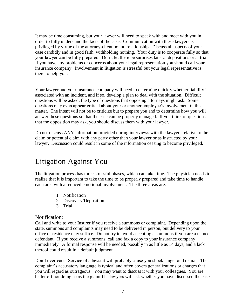It may be time consuming, but your lawyer will need to speak with and meet with you in order to fully understand the facts of the case. Communication with these lawyers is privileged by virtue of the attorney-client bound relationship. Discuss all aspects of your case candidly and in good faith, withholding nothing. Your duty is to cooperate fully so that your lawyer can be fully prepared. Don't let there be surprises later at depositions or at trial. If you have any problems or concerns about your legal representation you should call your insurance company. Involvement in litigation is stressful but your legal representative is there to help you.

Your lawyer and your insurance company will need to determine quickly whether liability is associated with an incident, and if so, develop a plan to deal with the situation. Difficult questions will be asked, the type of questions that opposing attorneys might ask. Some questions may even appear critical about your or another employee's involvement in the matter. The intent will not be to criticize but to prepare you and to determine how you will answer these questions so that the case can be properly managed. If you think of questions that the opposition may ask, you should discuss them with your lawyer.

Do not discuss ANY information provided during interviews with the lawyers relative to the claim or potential claim with any party other than your lawyer or as instructed by your lawyer. Discussion could result in some of the information ceasing to become privileged.

## Litigation Against You

The litigation process has three stressful phases, which can take time. The physician needs to realize that it is important to take the time to be properly prepared and take time to handle each area with a reduced emotional involvement. The three areas are:

- 1. Notification
- 2. Discovery/Deposition
- 3. Trial

#### Notification:

Call and write to your Insurer if you receive a summons or complaint. Depending upon the state, summons and complaints may need to be delivered in person, but delivery to your office or residence may suffice. Do not try to avoid accepting a summons if you are a named defendant. If you receive a summons, call and fax a copy to your insurance company immediately. A formal response will be needed, possibly in as little as 14 days, and a lack thereof could result in a default judgment.

Don't overreact. Service of a lawsuit will probably cause you shock, anger and denial. The complaint's accusatory language is typical and often covers generalizations or charges that you will regard as outrageous. You may want to discuss it with your colleagues. You are better off not doing so as the plaintiff's lawyers will ask whether you have discussed the case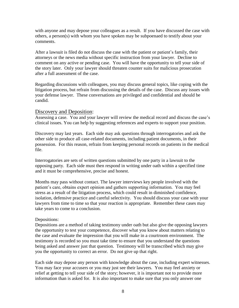with anyone and may depose your colleagues as a result. If you have discussed the case with others, a person(s) with whom you have spoken may be subpoenaed to testify about your comments.

After a lawsuit is filed do not discuss the case with the patient or patient's family, their attorneys or the news media without specific instruction from your lawyer. Decline to comment on any active or pending case. You will have the opportunity to tell your side of the story later. Only your lawyer should threaten counter suits for malicious prosecution after a full assessment of the case.

Regarding discussions with colleagues, you may discuss general topics, like coping with the litigation process, but refrain from discussing the details of the case. Discuss any issues with your defense lawyer. These conversations are privileged and confidential and should be candid.

#### Discovery and Deposition:

Assessing a case. You and your lawyer will review the medical record and discuss the case's clinical issues. You can help by suggesting references and experts to support your position.

Discovery may last years. Each side may ask questions through interrogatories and ask the other side to produce all case-related documents, including patient documents, in their possession. For this reason, refrain from keeping personal records on patients in the medical file.

Interrogatories are sets of written questions submitted by one party in a lawsuit to the opposing party. Each side must then respond in writing under oath within a specified time and it must be comprehensive, precise and honest.

Months may pass without contact. The lawyer interviews key people involved with the patient's care, obtains expert opinion and gathers supporting information. You may feel stress as a result of the litigation process, which could result in diminished confidence, isolation, defensive practice and careful selectivity. You should discuss your case with your lawyers from time to time so that your reaction is appropriate. Remember these cases may take years to come to a conclusion.

#### Depositions:

Depositions are a method of taking testimony under oath but also give the opposing lawyers the opportunity to test your competence, discover what you know about matters relating to the case and evaluate the impression that you will make in a courtroom environment. The testimony is recorded so you must take time to ensure that you understand the questions being asked and answer just that question. Testimony will be transcribed which may give you the opportunity to correct an error. Do not give up that right.

Each side may depose any person with knowledge about the case, including expert witnesses. You may face your accusers or you may just see their lawyers. You may feel anxiety or relief at getting to tell your side of the story; however, it is important not to provide more information than is asked for. It is also important to make sure that you only answer one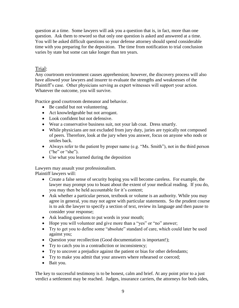question at a time. Some lawyers will ask you a question that is, in fact, more than one question. Ask them to reword so that only one question is asked and answered at a time. You will be asked difficult questions so your defense attorney should spend considerable time with you preparing for the deposition. The time from notification to trial conclusion varies by state but some can take longer than ten years.

#### Trial:

Any courtroom environment causes apprehension; however, the discovery process will also have allowed your lawyers and insurer to evaluate the strengths and weaknesses of the Plaintiff's case. Other physicians serving as expert witnesses will support your action. Whatever the outcome, you will survive.

Practice good courtroom demeanor and behavior.

- Be candid but not volunteering.
- Act knowledgeable but not arrogant.
- Look confident but not defensive.
- Wear a conservative business suit, not your lab coat. Dress smartly.
- While physicians are not excluded from jury duty, juries are typically not composed of peers. Therefore, look at the jury when you answer, focus on anyone who nods or smiles back.
- Always refer to the patient by proper name (e.g. "Ms. Smith"), not in the third person ("he" or "she").
- Use what you learned during the deposition

Lawyers may assault your professionalism.

Plaintiff lawyers will:

- Create a false sense of security hoping you will become careless. For example, the lawyer may prompt you to boast about the extent of your medical reading. If you do, you may then be held accountable for it's content;
- Ask whether a particular person, textbook or volume is an authority. While you may agree in general, you may not agree with particular statements. So the prudent course is to ask the lawyer to specify a section of text, review its language and then pause to consider your response;
- Ask leading questions to put words in your mouth;
- Hope you will volunteer and give more than a "yes" or "no" answer;
- Try to get you to define some "absolute" standard of care, which could later be used against you;
- Question your recollection (Good documentation is important!);
- Try to catch you in a contradiction or inconsistency;
- Try to uncover a prejudice against the patient or bias for other defendants;
- Try to make you admit that your answers where rehearsed or coerced;
- Bait you.

The key to successful testimony is to be honest, calm and brief. At any point prior to a just verdict a settlement may be reached. Judges, insurance carriers, the attorneys for both sides,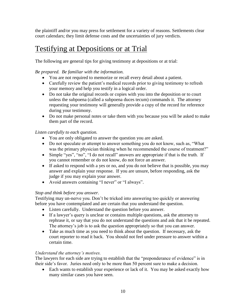the plaintiff and/or you may press for settlement for a variety of reasons. Settlements clear court calendars; they limit defense costs and the uncertainties of jury verdicts.

## Testifying at Depositions or at Trial

The following are general tips for giving testimony at depositions or at trial:

#### *Be prepared. Be familiar with the information.*

- You are not required to memorize or recall every detail about a patient.
- Carefully review the patient's medical records prior to giving testimony to refresh your memory and help you testify in a logical order.
- Do not take the original records or copies with you into the deposition or to court unless the subpoena (called a subpoena duces tecum) commands it. The attorney requesting your testimony will generally provide a copy of the record for reference during your testimony.
- Do not make personal notes or take them with you because you will be asked to make them part of the record.

#### *Listen carefully to each question.*

- You are only obligated to answer the question you are asked.
- Do not speculate or attempt to answer something you do not know, such as, "What was the primary physician thinking when he recommended the course of treatment?"
- Simple "yes", "no", "I do not recall" answers are appropriate if that is the truth. If you cannot remember or do not know, do not force an answer.
- If asked to respond with a yes or no, and you do not believe that is possible, you may answer and explain your response. If you are unsure, before responding, ask the judge if you may explain your answer.
- Avoid answers containing "I never" or "I always".

#### *Stop and think before you answer.*

Testifying may un-nerve you. Don't be tricked into answering too quickly or answering before you have contemplated and are certain that you understand the question.

- Listen carefully. Understand the question before you answer.
- If a lawyer's query is unclear or contains multiple questions, ask the attorney to rephrase it, or say that you do not understand the questions and ask that it be repeated. The attorney's job is to ask the question appropriately so that you can answer.
- Take as much time as you need to think about the question. If necessary, ask the court reporter to read it back. You should not feel under pressure to answer within a certain time.

#### *Understand the attorney's motives.*

The lawyers for each side are trying to establish that the "preponderance of evidence" is in their side's favor. Juries need only to be more than 50 percent sure to make a decision.

 Each wants to establish your experience or lack of it. You may be asked exactly how many similar cases you have seen.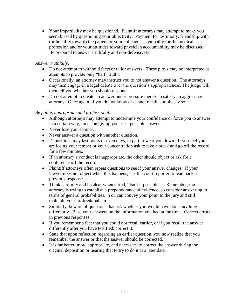• Your impartiality may be questioned. Plaintiff attorneys may attempt to make you seem biased by questioning your objectivity. Payment for testimony, friendship with (or hostility toward) the patient or your colleagues, sympathy for the medical profession and/or your attitudes toward physician accountability may be discussed. Be prepared to answer truthfully and non-defensively.

#### *Answer truthfully*.

- Do not attempt to withhold facts or tailor answers. These ploys may be interpreted as attempts to provide only "half" truths.
- Occasionally, an attorney may instruct you to not answer a question. The attorneys may then engage in a legal debate over the question's appropriateness. The judge will then tell you whether you should respond.
- Do not attempt to create an answer under pressure merely to satisfy an aggressive attorney. Once again, if you do not know or cannot recall, simply say so.

#### *Be polite, appropriate and professional.*

- Although attorneys may attempt to undermine your confidence or force you to answer in a certain way, focus on giving your best possible answer.
- Never lose your temper.
- Never answer a question with another question.
- Depositions may last hours or even days, in part to wear you down. If you feel you are losing your temper or your concentration ask to take a break and go off the record for a few minutes.
- If an attorney's conduct is inappropriate, the other should object or ask for a conference off the record.
- Plaintiff attorneys often repeat questions to see if your answer changes. If your lawyer does not object when this happens, ask the court reporter to read back a previous response.
- Think carefully and be clear when asked, "Isn't it possible..." Remember, the attorney is trying to establish a preponderance of evidence, so consider answering in terms of general probabilities. You can convey your point to the jury and still maintain your professionalism.
- Similarly, beware of questions that ask whether you would have done anything differently. Base your answers on the information you had at the time. Correct errors in previous responses.
- If you remember a fact that you could not recall earlier, or if you recall the answer differently after you have testified, correct it.
- State that upon reflection regarding an earlier question, you now realize that you remember the answer or that the answer should be corrected.
- It is far better, more appropriate, and necessary to correct the answer during the original deposition or hearing that to try to do it at a later date.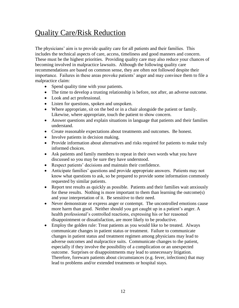## Quality Care/Risk Reduction

The physicians' aim is to provide quality care for all patients and their families. This includes the technical aspects of care, access, timeliness and good manners and concern. These must be the highest priorities. Providing quality care may also reduce your chances of becoming involved in malpractice lawsuits. Although the following quality care recommendations are based on common sense, they are often not followed despite their importance. Failures in these areas provoke patients' anger and may convince them to file a malpractice claim:

- Spend quality time with your patients.
- The time to develop a trusting relationship is before, not after, an adverse outcome.
- Look and act professional.
- Listen for questions, spoken and unspoken.
- Where appropriate, sit on the bed or in a chair alongside the patient or family. Likewise, where appropriate, touch the patient to show concern.
- Answer questions and explain situations in language that patients and their families understand.
- Create reasonable expectations about treatments and outcomes. Be honest.
- Involve patients in decision making.
- Provide information about alternatives and risks required for patients to make truly informed choices.
- Ask patients and family members to repeat in their own words what you have discussed so you may be sure they have understood.
- Respect patients' decisions and maintain their confidence.
- Anticipate families' questions and provide appropriate answers. Patients may not know what questions to ask, so be prepared to provide some information commonly requested by similar patients.
- Report test results as quickly as possible. Patients and their families wait anxiously for these results. Nothing is more important to them than learning the outcome(s) and your interpretation of it. Be sensitive to their need.
- Never demonstrate or express anger or contempt. The uncontrolled emotions cause more harm than good. Neither should you get caught up in a patient's anger. A health professional's controlled reactions, expressing his or her reasoned disappointment or dissatisfaction, are more likely to be productive.
- Employ the golden rule: Treat patients as you would like to be treated. Always communicate changes in patient status or treatment. Failure to communicate changes in patient status and treatment regimen among physicians may lead to adverse outcomes and malpractice suits. Communicate changes to the patient, especially if they involve the possibility of a complication or an unexpected outcome. Surprises or disappointments may lead to unnecessary litigation. Therefore, forewarn patients about circumstances (e.g. fever, infections) that may lead to problems and/or extended treatments or hospital stays.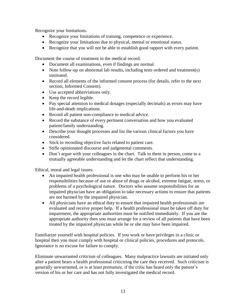Recognize your limitations.

- Recognize your limitations of training, competence or experience.
- Recognize your limitations due to physical, mental or emotional status.
- Recognize that you will not be able to establish good rapport with every patient.

Document the course of treatment in the medical record.

- Document all examinations, even if findings are normal.
- Note follow-up on abnormal lab results, including tests ordered and treatment(s) instituted.
- Record all elements of the informed consent process (for details, refer to the next section, Informed Consent).
- Use accepted abbreviations only.
- Keep the record legible.
- Pay special attention to medical dosages (especially decimals) as errors may have life-and-death implications.
- Record all patient non-compliance to medical advice.
- Record the substance of every pertinent conversation and how you evaluated patient/family understanding.
- Describe your thought processes and list the various clinical factors you have considered.
- Stick to recording objective facts related to patient care.
- Stifle opinionated discourse and judgmental comments.
- Don't argue with your colleagues in the chart. Talk to them in person, come to a mutually agreeable understanding and let the chart reflect that understanding.

Ethical, moral and legal issues:

- An impaired health professional is one who may be unable to perform his or her responsibilities because of use or abuse of drugs or alcohol, extreme fatigue, stress, or problems of a psychological nature. Doctors who assume responsibilities for an impaired physician have an obligation to take necessary actions to ensure that patients are not harmed by the impaired physician.
- All physicians have an ethical duty to ensure that impaired health professionals are evaluated and receive proper help. If a health professional must be taken off duty for impairment, the appropriate authorities must be notified immediately. If you are the appropriate authority then you must arrange for a review of all patients that have been treated by the impaired physician while he or she may have been impaired.

Familiarize yourself with hospital policies. If you work or have privileges in a clinic or hospital then you must comply with hospital or clinical policies, procedures and protocols. Ignorance is no excuse for failure to comply.

Eliminate unwarranted criticism of colleagues. Many malpractice lawsuits are initiated only after a patient hears a health professional criticizing the care they received. Such criticism is generally unwarranted, or is at least premature, if the critic has heard only the patient's version of his or her care and has not fully investigated the medical record.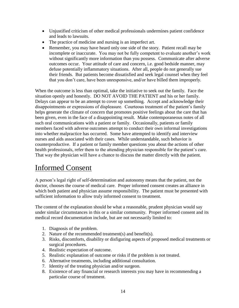- Unjustified criticism of other medical professionals undermines patient confidence and leads to lawsuits.
- The practice of medicine and nursing is an imperfect art.
- Remember, you may have heard only one side of the story. Patient recall may be incomplete or inaccurate. You may not be fully competent to evaluate another's work without significantly more information than you possess. Communicate after adverse outcomes occur. Your attitude of care and concern, i.e. good bedside manner, may defuse potentially inflammatory situations. After all, people do not generally sue their friends. But patients become dissatisfied and seek legal counsel when they feel that you don't care, have been unresponsive, and/or have billed them improperly.

When the outcome is less than optimal, take the initiative to seek out the family. Face the situation openly and honestly. DO NOT AVOID THE PATIENT and his or her family. Delays can appear to be an attempt to cover up something. Accept and acknowledge their disappointments or expressions of displeasure. Courteous treatment of the patient's family helps generate the climate of concern that promotes positive feelings about the care that has been given, even in the face of a disappointing result. Make contemporaneous notes of all such oral communications with a patient or family. Occasionally, patients or family members faced with adverse outcomes attempt to conduct their own informal investigations into whether malpractice has occurred. Some have attempted to identify and interview nurses and aids associated with their cases. While understandable, such behavior is counterproductive. If a patient or family member questions you about the actions of other health professionals, refer them to the attending physician responsible for the patient's care. That way the physician will have a chance to discuss the matter directly with the patient.

## Informed Consent

A person's legal right of self-determination and autonomy means that the patient, not the doctor, chooses the course of medical care. Proper informed consent creates an alliance in which both patient and physician assume responsibility. The patient must be presented with sufficient information to allow truly informed consent to treatment.

The content of the explanation should be what a reasonable, prudent physician would say under similar circumstances in this or a similar community. Proper informed consent and its medical record documentation include, but are not necessarily limited to:

- 1. Diagnosis of the problem.
- 2. Nature of the recommended treatment(s) and benefit(s).
- 3. Risks, discomforts, disability or disfiguring aspects of proposed medical treatments or surgical procedures.
- 4. Realistic expectation of outcome.
- 5. Realistic explanation of outcome or risks if the problem is not treated.
- 6. Alternative treatments, including additional consultation.
- 7. Identity of the treating physician and/or surgeon.
- 8. Existence of any financial or research interests you may have in recommending a particular course of treatment.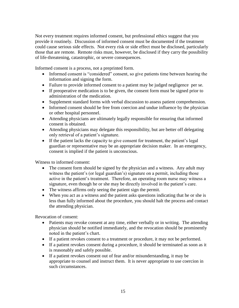Not every treatment requires informed consent, but professional ethics suggest that you provide it routinely. Discussion of informed consent must be documented if the treatment could cause serious side effects. Not every risk or side effect must be disclosed, particularly those that are remote. Remote risks must, however, be disclosed if they carry the possibility of life-threatening, catastrophic, or severe consequences.

Informed consent is a process, not a preprinted form.

- Informed consent is "considered" consent, so give patients time between hearing the information and signing the form.
- Failure to provide informed consent to a patient may be judged negligence per se.
- If preoperative medication is to be given, the consent form must be signed prior to administration of the medication.
- Supplement standard forms with verbal discussion to assess patient comprehension.
- Informed consent should be free from coercion and undue influence by the physician or other hospital personnel.
- Attending physicians are ultimately legally responsible for ensuring that informed consent is obtained.
- Attending physicians may delegate this responsibility, but are better off delegating only retrieval of a patient's signature.
- If the patient lacks the capacity to give consent for treatment, the patient's legal guardian or representative may be an appropriate decision maker. In an emergency, consent is implied if the patient is unconscious.

Witness to informed consent:

- The consent form should be signed by the physician and a witness. Any adult may witness the patient's (or legal guardian's) signature on a permit, including those active in the patient's treatment. Therefore, an operating room nurse may witness a signature, even though he or she may be directly involved in the patient's care.
- The witness affirms only seeing the patient sign the permit.
- When you act as a witness and the patient asks questions indicating that he or she is less than fully informed about the procedure, you should halt the process and contact the attending physician.

Revocation of consent:

- Patients may revoke consent at any time, either verbally or in writing. The attending physician should be notified immediately, and the revocation should be prominently noted in the patient's chart.
- If a patient revokes consent to a treatment or procedure, it may not be performed.
- If a patient revokes consent during a procedure, it should be terminated as soon as it is reasonably and safely possible.
- If a patient revokes consent out of fear and/or misunderstanding, it may be appropriate to counsel and instruct them. It is never appropriate to use coercion in such circumstances.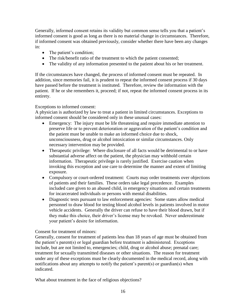Generally, informed consent retains its validity but common sense tells you that a patient's informed consent is good as long as there is no material change in circumstances. Therefore, if informed consent was obtained previously, consider whether there have been any changes in:

- The patient's condition;
- The risk/benefit ratio of the treatment to which the patient consented;
- The validity of any information presented to the patient about his or her treatment.

If the circumstances have changed, the process of informed consent must be repeated. In addition, since memories fail, it is prudent to repeat the informed consent process if 30 days have passed before the treatment is instituted. Therefore, review the information with the patient. If he or she remembers it, proceed; if not, repeat the informed consent process in its entirety.

#### Exceptions to informed consent:

A physician is authorized by law to treat a patient in limited circumstances. Exceptions to informed consent should be considered only in these unusual cases:

- Emergency: The injury must be life threatening and require immediate attention to preserve life or to prevent deterioration or aggravation of the patient's condition and the patient must be unable to make an informed choice due to shock, unconsciousness, drug or alcohol intoxication or similar circumstances. Only necessary intervention may be provided.
- Therapeutic privilege: Where disclosure of all facts would be detrimental to or have substantial adverse affect on the patient, the physician may withhold certain information. Therapeutic privilege is rarely justified. Exercise caution when invoking this exception and use care to determine the manner and extent of limiting exposure.
- Compulsory or court-ordered treatment: Courts may order treatments over objections of patients and their families. These orders take legal precedence. Examples included care given to an abused child, in emergency situations and certain treatments for incarcerated individuals or persons with mental disabilities.
- Diagnostic tests pursuant to law enforcement agencies: Some states allow medical personnel to draw blood for testing blood alcohol levels in patients involved in motor vehicle accidents. Generally the driver can refuse to have their blood drawn, but if they make this choice, their driver's license may be revoked. Never underestimate your patient's desire for information.

Consent for treatment of minors:

Generally, consent for treatment of patients less than 18 years of age must be obtained from the patient's parent(s) or legal guardian before treatment is administered. Exceptions include, but are not limited to, emergencies; child, drug or alcohol abuse; prenatal care; treatment for sexually transmitted diseases or other situations. The reason for treatment under any of these exceptions must be clearly documented in the medical record, along with notifications about any attempts to notify the patient's parent(s) or guardian(s) when indicated.

What about treatment in the face of religious objections?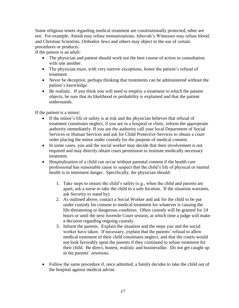Some religious tenets regarding medical treatment are constitutionally protected, other are not. For example, Amish may refuse immunizations; Jehovah's Witnesses may refuse blood; and Christian Scientists, Orthodox Jews and others may object to the use of certain procedures or products.

If the patient is an adult:

- The physician and patient should work out the best course of action in consultation with one another.
- The physician must, with very narrow exceptions, honor the patient's refusal of treatment.
- Never be deceptive, perhaps thinking that treatments can be administered without the patient's knowledge.
- Be realistic. If you think you will need to employ a treatment to which the patient objects, be sure that its likelihood or probability is explained and that the patient understands.

If the patient is a minor:

- If the minor's life or safety is at risk and the physician believes that refusal of treatment constitutes neglect, if you are in a hospital or clinic, inform the appropriate authority immediately. If you are the authority call your local Department of Social Services or Human Services and ask for Child Protective Services to obtain a court order placing the minor under custody for the purpose of medical consent.
- In some cases, you and the social worker may decide that their involvement is not required and may directly obtain court permission to institute medically necessary treatment.
- Hospitalization of a child can occur without parental consent if the health care professional has reasonable cause to suspect that the child's life of physical or mental health is in imminent danger. Specifically, the physician should:
	- 1. Take steps to ensure the child's safety (e.g., when the child and parents are apart, ask a nurse to take the child to a safe location. If the situation warrants, ask Security to stand by)
	- 2. As outlined above, contact a Social Worker and ask for the child to be put under custody for consent to medical treatment for whatever is causing the life-threatening or dangerous condition. Often custody will be granted for 24 hours or until the next Juvenile Court session, at which time a judge will make a decision regarding ongoing custody.
	- 3. Inform the parents. Explain the situation and the steps you and the social worker have taken. If necessary, explain that the parents' refusal to allow medical treatment of their child constitutes neglect, and that the courts would not look favorably upon the parents if they continued to refuse treatment for their child. Be direct, honest, realistic and businesslike. Do not get caught up in the parents' emotions.
- Follow the same procedure if, once admitted, a family decides to take the child out of the hospital against medical advise.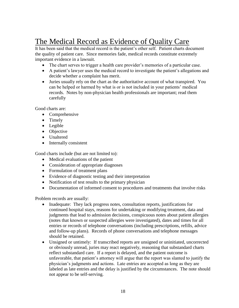## The Medical Record as Evidence of Quality Care

It has been said that the medical record is the patient's other self. Patient charts document the quality of patient care. Since memories fade, medical records constitute extremely important evidence in a lawsuit.

- The chart serves to trigger a health care provider's memories of a particular case.
- A patient's lawyer uses the medical record to investigate the patient's allegations and decide whether a complaint has merit.
- Juries usually rely on the chart as the authoritative account of what transpired. You can be helped or harmed by what is or is not included in your patients' medical records. Notes by non-physician health professionals are important; read them carefully

Good charts are:

- Comprehensive
- Timely
- Legible
- Objective
- Unaltered
- Internally consistent

Good charts include (but are not limited to):

- Medical evaluations of the patient
- Consideration of appropriate diagnoses
- Formulation of treatment plans
- Evidence of diagnostic testing and their interpretation
- Notification of test results to the primary physician
- Documentation of informed consent to procedures and treatments that involve risks

Problem records are usually:

- Inadequate: They lack progress notes, consultation reports, justifications for continued hospital stays, reasons for undertaking or modifying treatment, data and judgments that lead to admission decisions, conspicuous notes about patient allergies (notes that known or suspected allergies were investigated), dates and times for all entries or records of telephone conversations (including prescriptions, refills, advice and follow-up plans). Records of phone conversations and telephone messages should be retained.
- Unsigned or untimely: If transcribed reports are unsigned or uninitiated, uncorrected or obviously unread, juries may react negatively, reasoning that substandard charts reflect substandard care. If a report is delayed, and the patient outcome is unfavorable, that patient's attorney will argue that the report was slanted to justify the physician's judgments and actions. Late entries are accepted as long as they are labeled as late entries and the delay is justified by the circumstances. The note should not appear to be self-serving.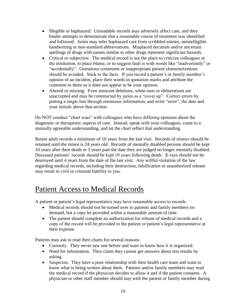- Illegible or haphazard: Unreadable records may adversely affect care, and they hinder attempts to demonstrate that a reasonable course of treatment was identified and followed. Juries may infer haphazard care from scribbled entries, unintelligible handwriting or non-standard abbreviations. Misplaced decimals and/or uncertain spellings of drugs with names similar to other drugs represent significant hazards.
- Critical or subjective: The medical record is not the place to criticize colleagues or the institution, to place blame, or to suggest fault is with words like "inadvertently" or "accidentally". Gratuitous comments or inappropriate patient characterizations should be avoided. Stick to the facts. If you record a patient's or family member's opinion of an incident, place their words in quotation marks and attribute the comment to them so it does not appear to be your opinion.
- Altered or missing: Even innocent deletions, white-outs or obliterations are unaccepted and may be constructed by juries as a "cover up". Correct errors by putting a single line through erroneous information, and write "error", the date and your initials above that section.

Do NOT conduct "chart wars" with colleagues who have differing opinions about the diagnostic or therapeutic aspects of care. Instead, speak with your colleagues, come to a mutually agreeable understanding, and let the chart reflect that understanding.

Retain adult records a minimum of 10 years from the last visit. Records of minors should be retained until the minor is 24 years old. Records of mentally disabled persons should be kept 10 years after their death or 3 years past the date they are judged no longer mentally disabled. Deceased patients' records should be kept 10 years following death. X-rays should not be destroyed until 4 years from the date of the last visit. Any willful violation of the law regarding medical records, including their destruction, falsification or unauthorized release may result in civil or criminal liability to you.

## Patient Access to Medical Records

A patient or patient's legal representative may have reasonable access to records.

- Medical records should not be turned over to patients and family members on demand, but a copy be provided within a reasonable amount of time.
- The patient should complete an authorization for release of medical records and a copy of the record will be provided to the patient or patient's legal representative at their expense.

Patients may ask to read their charts for several reasons:

- Curiosity. They never saw one before and want to know how it is organized.
- Need for information. They claim they cannot get answers about test results by asking.
- Suspicion. They have a poor relationship with their health care team and want to know what is being written about them. Patients and/or family members may read the medical record if the physician decides to allow it and if the patient consents. A physician or other staff member should stay with the patient or family member during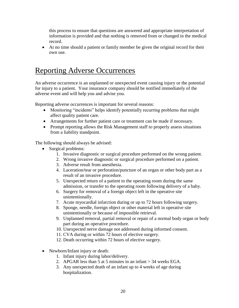this process to ensure that questions are answered and appropriate interpretation of information is provided and that nothing is removed from or changed in the medical record.

 At no time should a patient or family member be given the original record for their own use.

## Reporting Adverse Occurrences

An adverse occurrence is an unplanned or unexpected event causing injury or the potential for injury to a patient. Your insurance company should be notified immediately of the adverse event and will help you and advise you.

Reporting adverse occurrences is important for several reasons:

- Monitoring "incidents" helps identify potentially recurring problems that might affect quality patient care.
- Arrangements for further patient care or treatment can be made if necessary.
- Prompt reporting allows the Risk Management staff to properly assess situations from a liability standpoint.

The following should always be advised:

- Surgical problems:
	- 1. Invasive diagnostic or surgical procedure performed on the wrong patient.
	- 2. Wrong invasive diagnostic or surgical procedure performed on a patient.
	- 3. Adverse result from anesthesia.
	- 4. Laceration/tear or perforation/puncture of an organ or other body part as a result of an invasive procedure.
	- 5. Unexpected return of a patient to the operating room during the same admission, or transfer to the operating room following delivery of a baby.
	- 6. Surgery for removal of a foreign object left in the operative site unintentionally.
	- 7. Acute myocardial infarction during or up to 72 hours following surgery.
	- 8. Sponge, needle, foreign object or other material left in operative site unintentionally or because of impossible retrieval.
	- 9. Unplanned removal, partial removal or repair of a normal body organ or body part during an operative procedure.
	- 10. Unexpected nerve damage not addressed during informed consent.
	- 11. CVA during or within 72 hours of elective surgery.
	- 12. Death occurring within 72 hours of elective surgery.
- Newborn/Infant injury or death:
	- 1. Infant injury during labor/delivery.
	- 2. APGAR less than 5 at 5 minutes in an infant > 34 weeks EGA.
	- 3. Any unexpected death of an infant up to 4 weeks of age during hospitalization.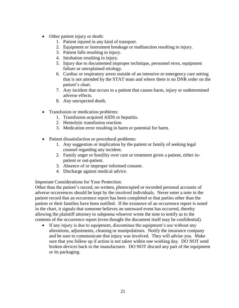- Other patient injury or death:
	- 1. Patient injured in any kind of transport.
	- 2. Equipment or instrument breakage or malfunction resulting in injury.
	- 3. Patient falls resulting in injury.
	- 4. Intubation resulting in injury.
	- 5. Injury due to documented improper technique, personnel error, equipment failure or unexplained etiology.
	- 6. Cardiac or respiratory arrest outside of an intensive or emergency care setting that is not attended by the STAT team and where there is no DNR order on the patient's chart.
	- 7. Any incident that occurs to a patient that causes harm, injury or undetermined adverse effects.
	- 8. Any unexpected death.
- Transfusion or medication problems:
	- 1. Transfusion acquired AIDS or hepatitis.
	- 2. Hemolytic transfusion reaction.
	- 3. Medication error resulting in harm or potential for harm.
- Patient dissatisfaction or procedural problems:
	- 1. Any suggestion or implication by the patient or family of seeking legal counsel regarding any incident.
	- 2. Family anger or hostility over care or treatment given a patient, either inpatient or out-patient.
	- 3. Absence of or improper informed consent.
	- 4. Discharge against medical advice.

Important Considerations for Your Protection:

Other than the patient's record, no written, photocopied or recorded personal accounts of adverse occurrences should be kept by the involved individuals. Never enter a note in the patient record that an occurrence report has been completed or that parties other than the patient or their families have been notified. If the existence of an occurrence report is noted in the chart, it signals that someone believes an untoward event has occurred, thereby allowing the plaintiff attorney to subpoena whoever wrote the note to testify as to the contents of the occurrence report (even thought the document itself may be confidential).

 If any injury is due to equipment, discontinue the equipment's use without any alterations, adjustments, cleaning or manipulations. Notify the insurance company and be sure to communicate that injury was involved. They will advise you. Make sure that you follow up if action is not taken within one working day. DO NOT send broken devices back to the manufacturer. DO NOT discard any part of the equipment or its packaging.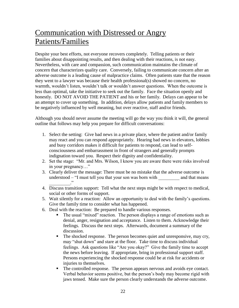## Communication with Distressed or Angry Patients/Families

Despite your best efforts, not everyone recovers completely. Telling patients or their families about disappointing results, and then dealing with their reactions, is not easy. Nevertheless, with care and compassion, such communication maintains the climate of concern that characterizes quality care. Conversely, failing to communicate concern after an adverse outcome is a leading cause of malpractice claims. Often patients state that the reason they went to a lawyer was because their health professional(s) showed no concern, no warmth, wouldn't listen, wouldn't talk or wouldn't answer questions. When the outcome is less than optimal, take the initiative to seek out the family. Face the situation openly and honestly. DO NOT AVOID THE PATIENT and his or her family. Delays can appear to be an attempt to cover up something. In addition, delays allow patients and family members to be negatively influenced by well meaning, but over reactive, staff and/or friends.

Although you should never assume the meeting will go the way you think it will, the general outline that follows may help you prepare for difficult conversations:

- 1. Select the setting: Give bad news in a private place, where the patient and/or family may react and you can respond appropriately. Hearing bad news in elevators, lobbies and busy corridors makes it difficult for patients to respond, can lead to selfconsciousness and embarrassment in front of strangers and generally prompts indignation toward you. Respect their dignity and confidentiality.
- 2. Set the stage: "Mr. and Mrs. Wilson, I know you are aware there were risks involved in your pregnancy…"
- 3. Clearly deliver the message: There must be no mistake that the adverse outcome is understood – "I must tell you that your son was born with and that means  $\ddots$   $\ddots$
- 4. Discuss transition support: Tell what the next steps might be with respect to medical, social or other forms of support.
- 5. Wait silently for a reaction: Allow an opportunity to deal with the family's questions. Give the family time to consider what has happened.
- 6. Deal with the reaction: Be prepared to handle various responses.
	- The usual "mixed" reaction. The person displays a range of emotions such as denial, anger, resignation and acceptance. Listen to them. Acknowledge their feelings. Discuss the next steps. Afterwards, document a summary of the discussion.
	- The shocked response. The person becomes quiet and unresponsive, may cry, may "shut down" and stare at the floor. Take time to discuss individual feelings. Ask questions like "Are you okay?" Give the family time to accept the news before leaving. If appropriate, bring in professional support staff. Persons experiencing the shocked response could be at risk for accidents or injuries to themselves.
	- The controlled response. The person appears nervous and avoids eye contact. Verbal behavior seems positive, but the person's body may become rigid with jaws tensed. Make sure the person clearly understands the adverse outcome.